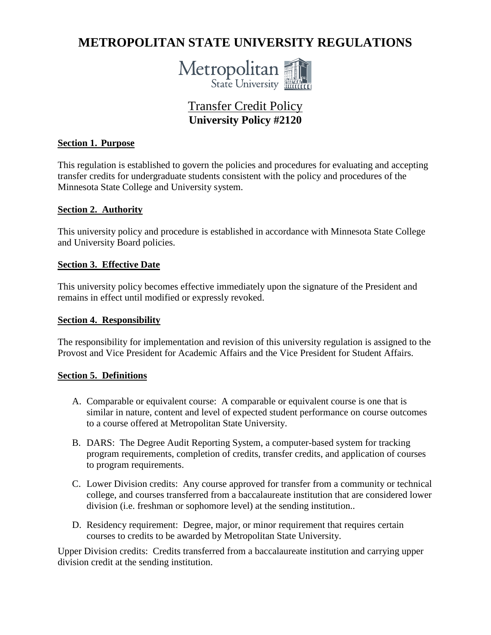# **METROPOLITAN STATE UNIVERSITY REGULATIONS**



## Transfer Credit Policy **University Policy #2120**

## **Section 1. Purpose**

This regulation is established to govern the policies and procedures for evaluating and accepting transfer credits for undergraduate students consistent with the policy and procedures of the Minnesota State College and University system.

## **Section 2. Authority**

This university policy and procedure is established in accordance with Minnesota State College and University Board policies.

## **Section 3. Effective Date**

This university policy becomes effective immediately upon the signature of the President and remains in effect until modified or expressly revoked.

## **Section 4. Responsibility**

The responsibility for implementation and revision of this university regulation is assigned to the Provost and Vice President for Academic Affairs and the Vice President for Student Affairs.

## **Section 5. Definitions**

- A. Comparable or equivalent course: A comparable or equivalent course is one that is similar in nature, content and level of expected student performance on course outcomes to a course offered at Metropolitan State University.
- B. DARS: The Degree Audit Reporting System, a computer-based system for tracking program requirements, completion of credits, transfer credits, and application of courses to program requirements.
- C. Lower Division credits: Any course approved for transfer from a community or technical college, and courses transferred from a baccalaureate institution that are considered lower division (i.e. freshman or sophomore level) at the sending institution..
- D. Residency requirement: Degree, major, or minor requirement that requires certain courses to credits to be awarded by Metropolitan State University.

Upper Division credits: Credits transferred from a baccalaureate institution and carrying upper division credit at the sending institution.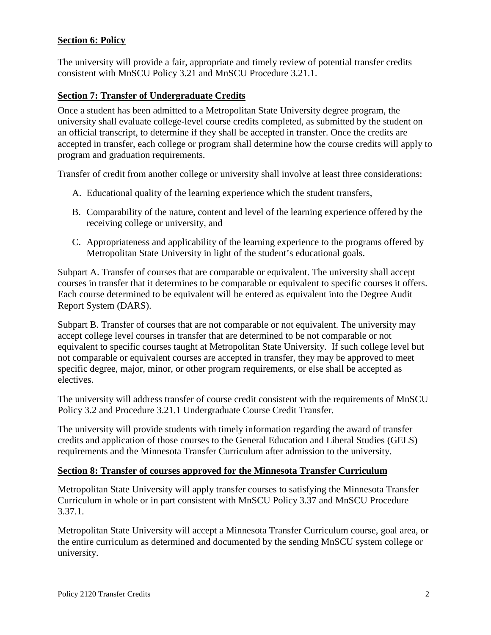## **Section 6: Policy**

The university will provide a fair, appropriate and timely review of potential transfer credits consistent with MnSCU Policy 3.21 and MnSCU Procedure 3.21.1.

## **Section 7: Transfer of Undergraduate Credits**

Once a student has been admitted to a Metropolitan State University degree program, the university shall evaluate college-level course credits completed, as submitted by the student on an official transcript, to determine if they shall be accepted in transfer. Once the credits are accepted in transfer, each college or program shall determine how the course credits will apply to program and graduation requirements.

Transfer of credit from another college or university shall involve at least three considerations:

- A. Educational quality of the learning experience which the student transfers,
- B. Comparability of the nature, content and level of the learning experience offered by the receiving college or university, and
- C. Appropriateness and applicability of the learning experience to the programs offered by Metropolitan State University in light of the student's educational goals.

Subpart A. Transfer of courses that are comparable or equivalent. The university shall accept courses in transfer that it determines to be comparable or equivalent to specific courses it offers. Each course determined to be equivalent will be entered as equivalent into the Degree Audit Report System (DARS).

Subpart B. Transfer of courses that are not comparable or not equivalent. The university may accept college level courses in transfer that are determined to be not comparable or not equivalent to specific courses taught at Metropolitan State University. If such college level but not comparable or equivalent courses are accepted in transfer, they may be approved to meet specific degree, major, minor, or other program requirements, or else shall be accepted as electives.

The university will address transfer of course credit consistent with the requirements of MnSCU Policy 3.2 and Procedure 3.21.1 Undergraduate Course Credit Transfer.

The university will provide students with timely information regarding the award of transfer credits and application of those courses to the General Education and Liberal Studies (GELS) requirements and the Minnesota Transfer Curriculum after admission to the university.

## **Section 8: Transfer of courses approved for the Minnesota Transfer Curriculum**

Metropolitan State University will apply transfer courses to satisfying the Minnesota Transfer Curriculum in whole or in part consistent with MnSCU Policy 3.37 and MnSCU Procedure 3.37.1.

Metropolitan State University will accept a Minnesota Transfer Curriculum course, goal area, or the entire curriculum as determined and documented by the sending MnSCU system college or university.